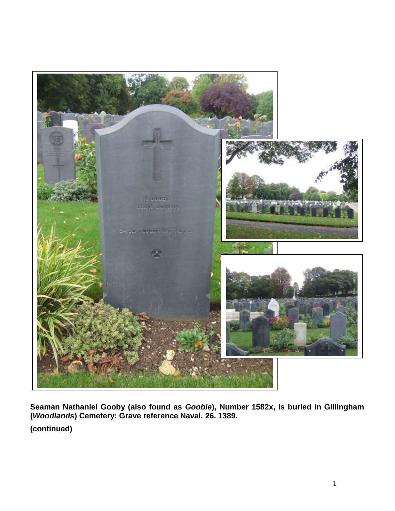

**Seaman Nathaniel Gooby (also found as** *Goobie***), Number 1582x, is buried in Gillingham (***Woodlands***) Cemetery: Grave reference Naval. 26. 1389.**

**(continued)**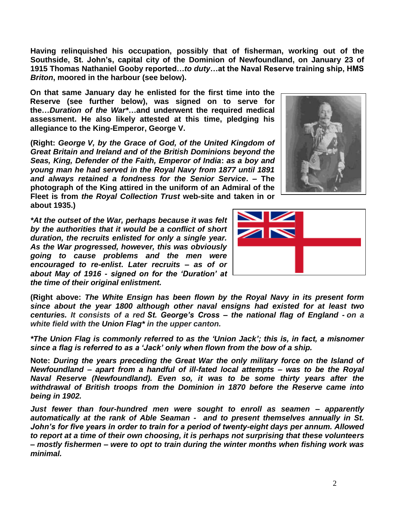**Having relinquished his occupation, possibly that of fisherman, working out of the Southside, St. John's, capital city of the Dominion of Newfoundland, on January 23 of 1915 Thomas Nathaniel Gooby reported…***to duty***…at the Naval Reserve training ship, HMS**  *Briton***, moored in the harbour (see below).**

**On that same January day he enlisted for the first time into the Reserve (see further below), was signed on to serve for the…***Duration of the War\****…and underwent the required medical assessment. He also likely attested at this time, pledging his allegiance to the King-Emperor, George V.**

**(Right:** *George V, by the Grace of God, of the United Kingdom of Great Britain and Ireland and of the British Dominions beyond the Seas, King, Defender of the Faith, Emperor of India***:** *as a boy and young man he had served in the Royal Navy from 1877 until 1891 and always retained a fondness for the Senior Service***. – The photograph of the King attired in the uniform of an Admiral of the Fleet is from** *the Royal Collection Trust* **web-site and taken in or about 1935.)**

*\*At the outset of the War, perhaps because it was felt by the authorities that it would be a conflict of short duration, the recruits enlisted for only a single year. As the War progressed, however, this was obviously going to cause problems and the men were encouraged to re-enlist***.** *Later recruits – as of or about May of 1916 - signed on for the 'Duration' at the time of their original enlistment.*

**(Right above:** *The White Ensign has been flown by the Royal Navy in its present form since about the year 1800 although other naval ensigns had existed for at least two centuries. It consists of a red St. George's Cross – the national flag of England - on a white field with the Union Flag\* in the upper canton.*

*\*The Union Flag is commonly referred to as the 'Union Jack'; this is, in fact, a misnomer since a flag is referred to as a 'Jack' only when flown from the bow of a ship.* 

**Note:** *During the years preceding the Great War the only military force on the Island of Newfoundland – apart from a handful of ill-fated local attempts – was to be the Royal Naval Reserve (Newfoundland). Even so, it was to be some thirty years after the withdrawal of British troops from the Dominion in 1870 before the Reserve came into being in 1902.* 

*Just fewer than four-hundred men were sought to enroll as seamen – apparently automatically at the rank of Able Seaman - and to present themselves annually in St. John's for five years in order to train for a period of twenty-eight days per annum. Allowed to report at a time of their own choosing, it is perhaps not surprising that these volunteers – mostly fishermen – were to opt to train during the winter months when fishing work was minimal.*



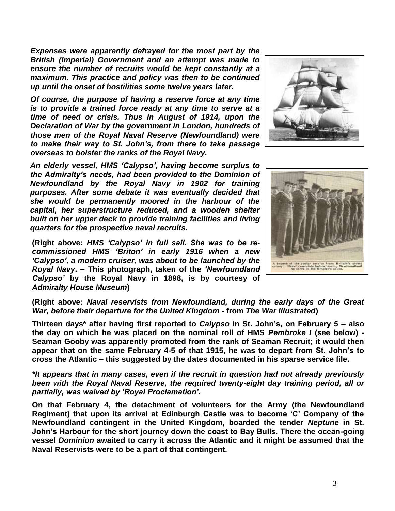*Expenses were apparently defrayed for the most part by the British (Imperial) Government and an attempt was made to ensure the number of recruits would be kept constantly at a maximum. This practice and policy was then to be continued up until the onset of hostilities some twelve years later.*

*Of course, the purpose of having a reserve force at any time is to provide a trained force ready at any time to serve at a time of need or crisis. Thus in August of 1914, upon the Declaration of War by the government in London, hundreds of those men of the Royal Naval Reserve (Newfoundland) were to make their way to St. John's, from there to take passage overseas to bolster the ranks of the Royal Navy.*

*An elderly vessel, HMS 'Calypso', having become surplus to the Admiralty's needs, had been provided to the Dominion of Newfoundland by the Royal Navy in 1902 for training purposes. After some debate it was eventually decided that she would be permanently moored in the harbour of the capital, her superstructure reduced, and a wooden shelter built on her upper deck to provide training facilities and living quarters for the prospective naval recruits.* 

**(Right above:** *HMS 'Calypso' in full sail. She was to be recommissioned HMS 'Briton' in early 1916 when a new 'Calypso', a modern cruiser, was about to be launched by the Royal Navy***. – This photograph, taken of the** *'Newfoundland Calypso'* **by the Royal Navy in 1898, is by courtesy of**  *Admiralty House Museum***)**



## **(Right above:** *Naval reservists from Newfoundland, during the early days of the Great War, before their departure for the United Kingdom* **- from** *The War Illustrated***)**

**Thirteen days\* after having first reported to** *Calypso* **in St. John's, on February 5 – also the day on which he was placed on the nominal roll of HMS** *Pembroke I* **(see below) - Seaman Gooby was apparently promoted from the rank of Seaman Recruit; it would then appear that on the same February 4-5 of that 1915, he was to depart from St. John's to cross the Atlantic – this suggested by the dates documented in his sparse service file.**

*\*It appears that in many cases, even if the recruit in question had not already previously been with the Royal Naval Reserve, the required twenty-eight day training period, all or partially, was waived by 'Royal Proclamation'.*

**On that February 4, the detachment of volunteers for the Army (the Newfoundland Regiment) that upon its arrival at Edinburgh Castle was to become 'C' Company of the Newfoundland contingent in the United Kingdom, boarded the tender** *Neptune* **in St. John's Harbour for the short journey down the coast to Bay Bulls. There the ocean-going vessel** *Dominion* **awaited to carry it across the Atlantic and it might be assumed that the Naval Reservists were to be a part of that contingent.** 

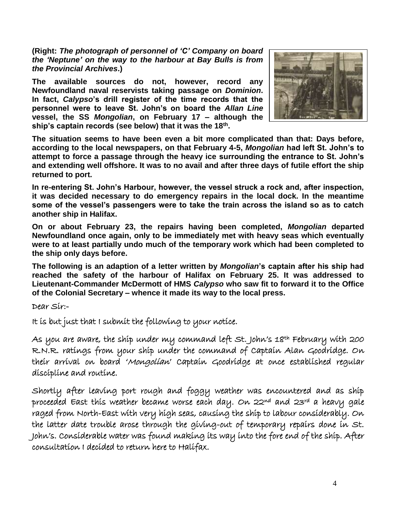**(Right:** *The photograph of personnel of 'C' Company on board the 'Neptune' on the way to the harbour at Bay Bulls is from the Provincial Archives***.)**

**The available sources do not, however, record any Newfoundland naval reservists taking passage on** *Dominion***. In fact,** *Calypso***'s drill register of the time records that the personnel were to leave St. John's on board the** *Allan Line* **vessel, the SS** *Mongolian***, on February 17 – although the ship's captain records (see below) that it was the 18th .**



**The situation seems to have been even a bit more complicated than that: Days before, according to the local newspapers, on that February 4-5,** *Mongolian* **had left St. John's to attempt to force a passage through the heavy ice surrounding the entrance to St. John's and extending well offshore. It was to no avail and after three days of futile effort the ship returned to port.**

**In re-entering St. John's Harbour, however, the vessel struck a rock and, after inspection, it was decided necessary to do emergency repairs in the local dock. In the meantime some of the vessel's passengers were to take the train across the island so as to catch another ship in Halifax.** 

**On or about February 23, the repairs having been completed,** *Mongolian* **departed Newfoundland once again, only to be immediately met with heavy seas which eventually were to at least partially undo much of the temporary work which had been completed to the ship only days before.**

**The following is an adaption of a letter written by** *Mongolian***'s captain after his ship had reached the safety of the harbour of Halifax on February 25. It was addressed to Lieutenant-Commander McDermott of HMS** *Calypso* **who saw fit to forward it to the Office of the Colonial Secretary – whence it made its way to the local press.**

Dear Sir:-

It is but just that I submit the following to your notice.

As you are aware, the ship under my command left St. John's 18th February with 200 R.N.R. ratings from your ship under the command of Captain Alan Goodridge. On their arrival on board 'Mongolian' Captain Goodridge at once established regular discipline and routine.

Shortly after leaving port rough and foggy weather was encountered and as ship proceeded East this weather became worse each day. On 22nd and 23rd a heavy gale raged from North-East with very high seas, causing the ship to labour considerably. On the latter date trouble arose through the giving-out of temporary repairs done in St. John's. Considerable water was found making its way into the fore end of the ship. After consultation I decided to return here to Halifax.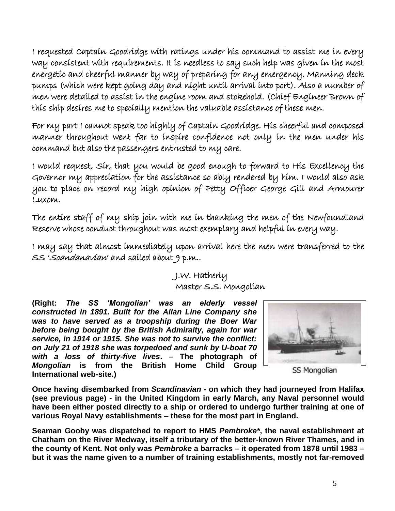I requested Captain Goodridge with ratings under his command to assist me in every way consistent with requirements. It is needless to say such help was given in the most energetic and cheerful manner by way of preparing for any emergency. Manning deck pumps (which were kept going day and night until arrival into port). Also a number of men were detailed to assist in the engine room and stokehold. (Chief Engineer Brown of this ship desires me to specially mention the valuable assistance of these men.

For my part I cannot speak too highly of Captain Goodridge. His cheerful and composed manner throughout went far to inspire confidence not only in the men under his command but also the passengers entrusted to my care.

I would request, Sir, that you would be good enough to forward to His Excellency the Governor my appreciation for the assistance so ably rendered by him. I would also ask you to place on record my high opinion of Petty Officer George Gill and Armourer Luxom.

The entire staff of my ship join with me in thanking the men of the Newfoundland Reserve whose conduct throughout was most exemplary and helpful in every way.

I may say that almost immediately upon arrival here the men were transferred to the SS 'Scandanavian' and sailed about 9 p.m..

> J.W. Hatherly Master S.S. Mongolian

**(Right:** *The SS 'Mongolian' was an elderly vessel constructed in 1891. Built for the Allan Line Company she was to have served as a troopship during the Boer War before being bought by the British Admiralty, again for war service, in 1914 or 1915. She was not to survive the conflict: on July 21 of 1918 she was torpedoed and sunk by U-boat 70 with a loss of thirty-five lives***. – The photograph of**  *Mongolian* **is from the British Home Child Group International web-site.)**



SS Mongolian

**Once having disembarked from** *Scandinavian -* **on which they had journeyed from Halifax (see previous page) - in the United Kingdom in early March, any Naval personnel would have been either posted directly to a ship or ordered to undergo further training at one of various Royal Navy establishments – these for the most part in England.** 

**Seaman Gooby was dispatched to report to HMS** *Pembroke\****, the naval establishment at Chatham on the River Medway, itself a tributary of the better-known River Thames, and in the county of Kent. Not only was** *Pembroke* **a barracks – it operated from 1878 until 1983 – but it was the name given to a number of training establishments, mostly not far-removed**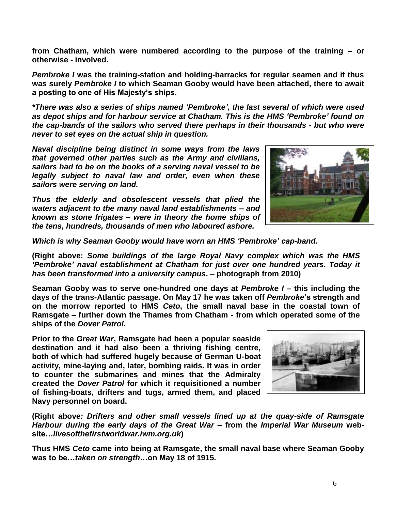**from Chatham, which were numbered according to the purpose of the training – or otherwise - involved.** 

*Pembroke I* **was the training-station and holding-barracks for regular seamen and it thus was surely** *Pembroke I* **to which Seaman Gooby would have been attached, there to await a posting to one of His Majesty's ships.**

*\*There was also a series of ships named 'Pembroke', the last several of which were used as depot ships and for harbour service at Chatham. This is the HMS 'Pembroke' found on the cap-bands of the sailors who served there perhaps in their thousands - but who were never to set eyes on the actual ship in question.*

*Naval discipline being distinct in some ways from the laws that governed other parties such as the Army and civilians, sailors had to be on the books of a serving naval vessel to be legally subject to naval law and order, even when these sailors were serving on land.*

*Thus the elderly and obsolescent vessels that plied the waters adjacent to the many naval land establishments – and known as stone frigates – were in theory the home ships of the tens, hundreds, thousands of men who laboured ashore.*



*Which is why Seaman Gooby would have worn an HMS 'Pembroke' cap-band.*

**(Right above:** *Some buildings of the large Royal Navy complex which was the HMS 'Pembroke' naval establishment at Chatham for just over one hundred years. Today it has been transformed into a university campus***. – photograph from 2010)**

**Seaman Gooby was to serve one-hundred one days at** *Pembroke I* **– this including the days of the trans-Atlantic passage. On May 17 he was taken off** *Pembroke***'s strength and on the morrow reported to HMS** *Ceto***, the small naval base in the coastal town of Ramsgate – further down the Thames from Chatham - from which operated some of the ships of the** *Dover Patrol.*

**Prior to the** *Great War***, Ramsgate had been a popular seaside destination and it had also been a thriving fishing centre, both of which had suffered hugely because of German U-boat activity, mine-laying and, later, bombing raids. It was in order to counter the submarines and mines that the Admiralty created the** *Dover Patrol* **for which it requisitioned a number of fishing-boats, drifters and tugs, armed them, and placed Navy personnel on board.**



**(Right above***: Drifters and other small vessels lined up at the quay-side of Ramsgate Harbour during the early days of the Great War* **– from the** *Imperial War Museum* **website…***livesofthefirstworldwar.iwm.org.uk***)** 

**Thus HMS** *Ceto* **came into being at Ramsgate, the small naval base where Seaman Gooby was to be…***taken on strength***…on May 18 of 1915.**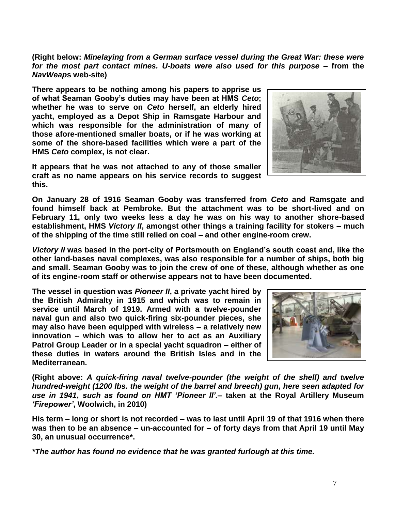**(Right below:** *Minelaying from a German surface vessel during the Great War: these were for the most part contact mines. U-boats were also used for this purpose* **– from the**  *NavWeap***s web-site)**

**There appears to be nothing among his papers to apprise us of what Seaman Gooby's duties may have been at HMS** *Ceto***; whether he was to serve on** *Ceto* **herself, an elderly hired yacht, employed as a Depot Ship in Ramsgate Harbour and which was responsible for the administration of many of those afore-mentioned smaller boats, or if he was working at some of the shore-based facilities which were a part of the HMS** *Ceto* **complex, is not clear.**

**It appears that he was not attached to any of those smaller craft as no name appears on his service records to suggest this.**

**On January 28 of 1916 Seaman Gooby was transferred from** *Ceto* **and Ramsgate and found himself back at Pembroke. But the attachment was to be short-lived and on February 11, only two weeks less a day he was on his way to another shore-based establishment, HMS** *Victory II***, amongst other things a training facility for stokers – much of the shipping of the time still relied on coal – and other engine-room crew.**

*Victory II* **was based in the port-city of Portsmouth on England's south coast and, like the other land-bases naval complexes, was also responsible for a number of ships, both big and small. Seaman Gooby was to join the crew of one of these, although whether as one of its engine-room staff or otherwise appears not to have been documented.**

**The vessel in question was** *Pioneer II***, a private yacht hired by the British Admiralty in 1915 and which was to remain in service until March of 1919. Armed with a twelve-pounder naval gun and also two quick-firing six-pounder pieces, she may also have been equipped with wireless – a relatively new innovation – which was to allow her to act as an Auxiliary Patrol Group Leader or in a special yacht squadron – either of these duties in waters around the British Isles and in the Mediterranean.**

**(Right above:** *A quick-firing naval twelve-pounder (the weight of the shell) and twelve hundred-weight (1200 lbs. the weight of the barrel and breech) gun, here seen adapted for use in 1941***,** *such as found on HMT 'Pioneer II'.***– taken at the Royal Artillery Museum**  *'Firepower'***, Woolwich, in 2010)**

**His term – long or short is not recorded – was to last until April 19 of that 1916 when there was then to be an absence – un-accounted for – of forty days from that April 19 until May 30, an unusual occurrence\*.**

*\*The author has found no evidence that he was granted furlough at this time.*



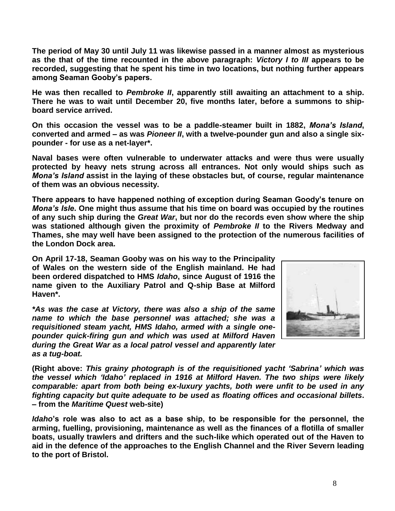**The period of May 30 until July 11 was likewise passed in a manner almost as mysterious as the that of the time recounted in the above paragraph:** *Victory I to III* **appears to be recorded, suggesting that he spent his time in two locations, but nothing further appears among Seaman Gooby's papers.**

**He was then recalled to** *Pembroke II***, apparently still awaiting an attachment to a ship. There he was to wait until December 20, five months later, before a summons to shipboard service arrived.** 

**On this occasion the vessel was to be a paddle-steamer built in 1882,** *Mona's Island***, converted and armed – as was** *Pioneer II***, with a twelve-pounder gun and also a single sixpounder - for use as a net-layer\*.**

**Naval bases were often vulnerable to underwater attacks and were thus were usually protected by heavy nets strung across all entrances. Not only would ships such as**  *Mona's Island* **assist in the laying of these obstacles but, of course, regular maintenance of them was an obvious necessity.**

**There appears to have happened nothing of exception during Seaman Goody's tenure on**  *Mona's Isle***. One might thus assume that his time on board was occupied by the routines of any such ship during the** *Great War***, but nor do the records even show where the ship was stationed although given the proximity of** *Pembroke II* **to the Rivers Medway and Thames, she may well have been assigned to the protection of the numerous facilities of the London Dock area.**

**On April 17-18, Seaman Gooby was on his way to the Principality of Wales on the western side of the English mainland. He had been ordered dispatched to HMS** *Idaho***, since August of 1916 the name given to the Auxiliary Patrol and Q-ship Base at Milford Haven\*.**

*\*As was the case at Victory, there was also a ship of the same name to which the base personnel was attached; she was a requisitioned steam yacht, HMS Idaho, armed with a single onepounder quick-firing gun and which was used at Milford Haven during the Great War as a local patrol vessel and apparently later as a tug-boat.*



**(Right above:** *This grainy photograph is of the requisitioned yacht 'Sabrina' which was the vessel which 'Idaho' replaced in 1916 at Milford Haven. The two ships were likely comparable: apart from both being ex-luxury yachts, both were unfit to be used in any fighting capacity but quite adequate to be used as floating offices and occasional billets***. – from the** *Maritime Quest* **web-site)**

*Idaho***'s role was also to act as a base ship, to be responsible for the personnel, the arming, fuelling, provisioning, maintenance as well as the finances of a flotilla of smaller boats, usually trawlers and drifters and the such-like which operated out of the Haven to aid in the defence of the approaches to the English Channel and the River Severn leading to the port of Bristol.**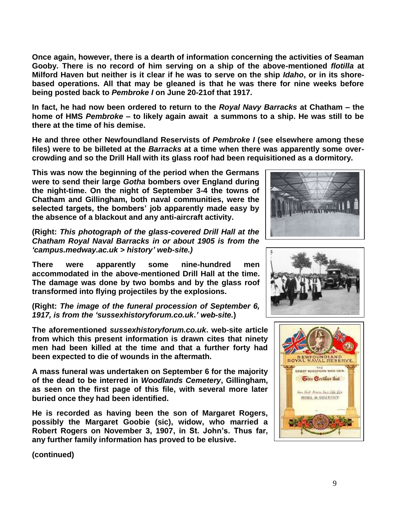**Once again, however, there is a dearth of information concerning the activities of Seaman Gooby. There is no record of him serving on a ship of the above-mentioned** *flotilla* **at Milford Haven but neither is it clear if he was to serve on the ship** *Idaho***, or in its shorebased operations. All that may be gleaned is that he was there for nine weeks before being posted back to** *Pembroke I* **on June 20-21of that 1917.**

**In fact, he had now been ordered to return to the** *Royal Navy Barracks* **at Chatham – the home of HMS** *Pembroke* **– to likely again await a summons to a ship. He was still to be there at the time of his demise.**

**He and three other Newfoundland Reservists of** *Pembroke I* **(see elsewhere among these files) were to be billeted at the** *Barracks* **at a time when there was apparently some overcrowding and so the Drill Hall with its glass roof had been requisitioned as a dormitory.**

**This was now the beginning of the period when the Germans were to send their large** *Gotha* **bombers over England during the night-time. On the night of September 3-4 the towns of Chatham and Gillingham, both naval communities, were the selected targets, the bombers' job apparently made easy by the absence of a blackout and any anti-aircraft activity.**

**(Right:** *This photograph of the glass-covered Drill Hall at the Chatham Royal Naval Barracks in or about 1905 is from the 'campus.medway.ac.uk > history' web-site.)*

**There were apparently some nine-hundred men accommodated in the above-mentioned Drill Hall at the time. The damage was done by two bombs and by the glass roof transformed into flying projectiles by the explosions.**

**(Right:** *The image of the funeral procession of September 6, 1917, is from the 'sussexhistoryforum.co.uk***.***' web-site.***)**

**The aforementioned** *sussexhistoryforum.co.uk***. web-site article from which this present information is drawn cites that ninety men had been killed at the time and that a further forty had been expected to die of wounds in the aftermath.**

**A mass funeral was undertaken on September 6 for the majority of the dead to be interred in** *Woodlands Cemetery***, Gillingham, as seen on the first page of this file, with several more later buried once they had been identified.**

**He is recorded as having been the son of Margaret Rogers, possibly the Margaret Goobie (sic), widow, who married a Robert Rogers on November 3, 1907, in St. John's. Thus far, any further family information has proved to be elusive.**







**(continued)**